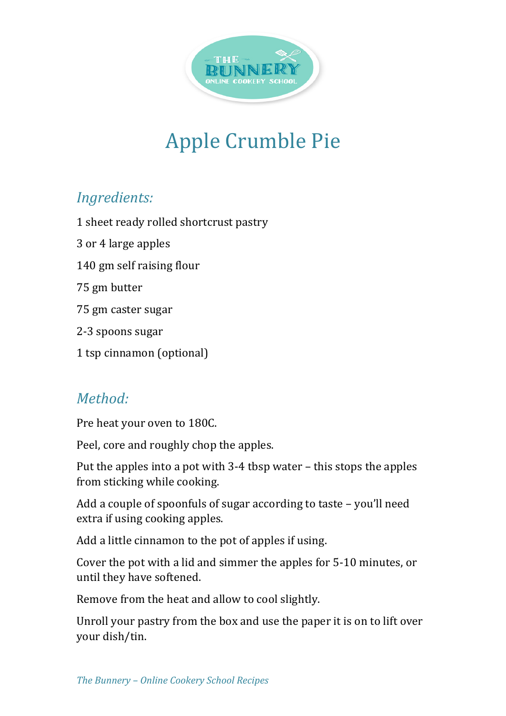

## Apple Crumble Pie

## *Ingredients:*

1 sheet ready rolled shortcrust pastry

3 or 4 large apples

140 gm self raising flour

75 gm butter

75 gm caster sugar

2-3 spoons sugar

1 tsp cinnamon (optional)

## *Method:*

Pre heat your oven to 180C.

Peel, core and roughly chop the apples.

Put the apples into a pot with  $3-4$  tbsp water – this stops the apples from sticking while cooking.

Add a couple of spoonfuls of sugar according to taste  $-$  you'll need extra if using cooking apples.

Add a little cinnamon to the pot of apples if using.

Cover the pot with a lid and simmer the apples for 5-10 minutes, or until they have softened.

Remove from the heat and allow to cool slightly.

Unroll your pastry from the box and use the paper it is on to lift over your dish/tin.